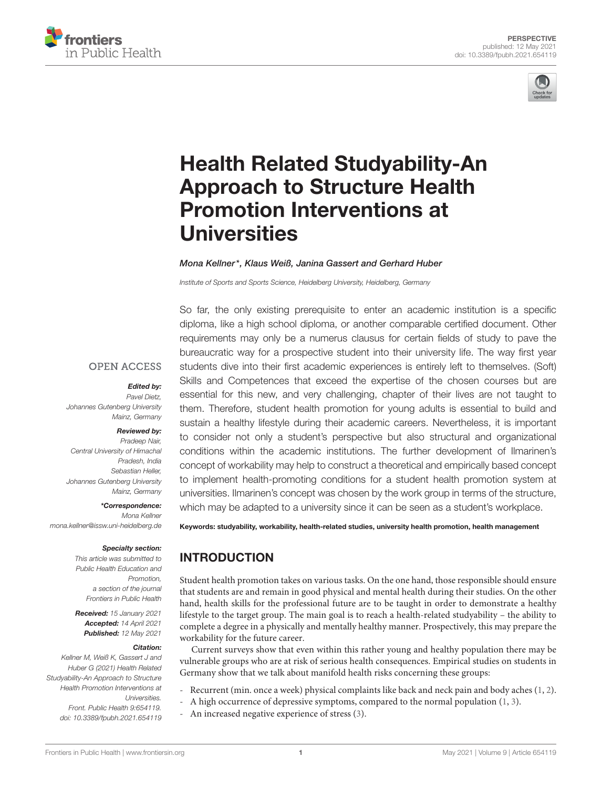



# [Health Related Studyability-An](https://www.frontiersin.org/articles/10.3389/fpubh.2021.654119/full) Approach to Structure Health Promotion Interventions at **Universities**

Mona Kellner\*, Klaus Weiß, Janina Gassert and Gerhard Huber

*Institute of Sports and Sports Science, Heidelberg University, Heidelberg, Germany*

So far, the only existing prerequisite to enter an academic institution is a specific diploma, like a high school diploma, or another comparable certified document. Other requirements may only be a numerus clausus for certain fields of study to pave the bureaucratic way for a prospective student into their university life. The way first year students dive into their first academic experiences is entirely left to themselves. (Soft) Skills and Competences that exceed the expertise of the chosen courses but are essential for this new, and very challenging, chapter of their lives are not taught to them. Therefore, student health promotion for young adults is essential to build and sustain a healthy lifestyle during their academic careers. Nevertheless, it is important to consider not only a student's perspective but also structural and organizational conditions within the academic institutions. The further development of Ilmarinen's concept of workability may help to construct a theoretical and empirically based concept to implement health-promoting conditions for a student health promotion system at universities. Ilmarinen's concept was chosen by the work group in terms of the structure, which may be adapted to a university since it can be seen as a student's workplace.

Keywords: studyability, workability, health-related studies, university health promotion, health management

## INTRODUCTION

Student health promotion takes on various tasks. On the one hand, those responsible should ensure that students are and remain in good physical and mental health during their studies. On the other hand, health skills for the professional future are to be taught in order to demonstrate a healthy lifestyle to the target group. The main goal is to reach a health-related studyability – the ability to complete a degree in a physically and mentally healthy manner. Prospectively, this may prepare the workability for the future career.

Current surveys show that even within this rather young and healthy population there may be vulnerable groups who are at risk of serious health consequences. Empirical studies on students in Germany show that we talk about manifold health risks concerning these groups:

- Recurrent (min. once a week) physical complaints like back and neck pain and body aches [\(1,](#page-3-0) [2\)](#page-3-1).
- A high occurrence of depressive symptoms, compared to the normal population  $(1, 3)$  $(1, 3)$ .
- An increased negative experience of stress [\(3\)](#page-3-2).

**OPEN ACCESS** 

#### Edited by:

*Pavel Dietz, Johannes Gutenberg University Mainz, Germany*

#### Reviewed by:

*Pradeep Nair, Central University of Himachal Pradesh, India Sebastian Heller, Johannes Gutenberg University Mainz, Germany*

\*Correspondence: *Mona Kellner [mona.kellner@issw.uni-heidelberg.de](mailto:mona.kellner@issw.uni-heidelberg.de)*

#### Specialty section:

*This article was submitted to Public Health Education and Promotion, a section of the journal Frontiers in Public Health*

Received: *15 January 2021* Accepted: *14 April 2021* Published: *12 May 2021*

#### Citation:

*Kellner M, Weiß K, Gassert J and Huber G (2021) Health Related Studyability-An Approach to Structure Health Promotion Interventions at Universities. Front. Public Health 9:654119. doi: [10.3389/fpubh.2021.654119](https://doi.org/10.3389/fpubh.2021.654119)*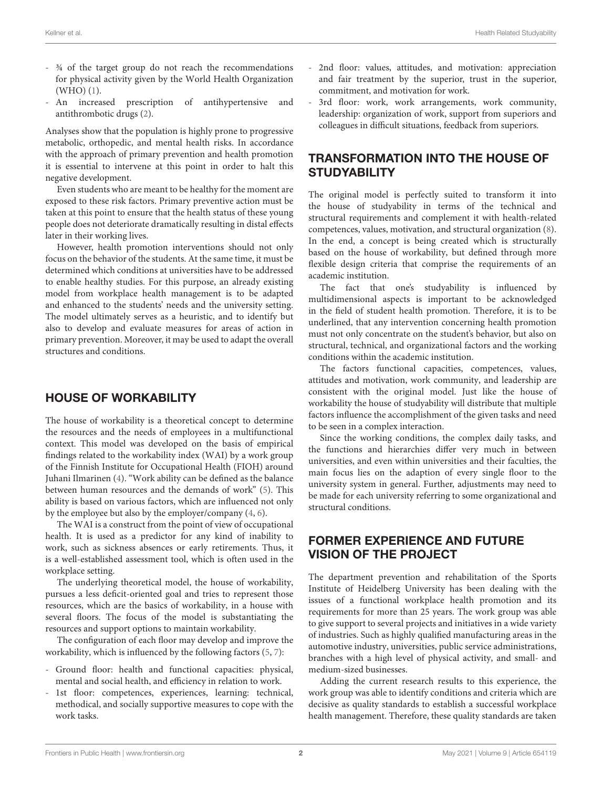- ¾ of the target group do not reach the recommendations for physical activity given by the World Health Organization (WHO) [\(1\)](#page-3-0).
- An increased prescription of antihypertensive and antithrombotic drugs [\(2\)](#page-3-1).

Analyses show that the population is highly prone to progressive metabolic, orthopedic, and mental health risks. In accordance with the approach of primary prevention and health promotion it is essential to intervene at this point in order to halt this negative development.

Even students who are meant to be healthy for the moment are exposed to these risk factors. Primary preventive action must be taken at this point to ensure that the health status of these young people does not deteriorate dramatically resulting in distal effects later in their working lives.

However, health promotion interventions should not only focus on the behavior of the students. At the same time, it must be determined which conditions at universities have to be addressed to enable healthy studies. For this purpose, an already existing model from workplace health management is to be adapted and enhanced to the students' needs and the university setting. The model ultimately serves as a heuristic, and to identify but also to develop and evaluate measures for areas of action in primary prevention. Moreover, it may be used to adapt the overall structures and conditions.

## HOUSE OF WORKABILITY

The house of workability is a theoretical concept to determine the resources and the needs of employees in a multifunctional context. This model was developed on the basis of empirical findings related to the workability index (WAI) by a work group of the Finnish Institute for Occupational Health (FIOH) around Juhani Ilmarinen [\(4\)](#page-3-3). "Work ability can be defined as the balance between human resources and the demands of work" [\(5\)](#page-3-4). This ability is based on various factors, which are influenced not only by the employee but also by the employer/company [\(4,](#page-3-3) [6\)](#page-3-5).

The WAI is a construct from the point of view of occupational health. It is used as a predictor for any kind of inability to work, such as sickness absences or early retirements. Thus, it is a well-established assessment tool, which is often used in the workplace setting.

The underlying theoretical model, the house of workability, pursues a less deficit-oriented goal and tries to represent those resources, which are the basics of workability, in a house with several floors. The focus of the model is substantiating the resources and support options to maintain workability.

The configuration of each floor may develop and improve the workability, which is influenced by the following factors [\(5,](#page-3-4) [7\)](#page-3-6):

- Ground floor: health and functional capacities: physical, mental and social health, and efficiency in relation to work.
- 1st floor: competences, experiences, learning: technical, methodical, and socially supportive measures to cope with the work tasks.
- 2nd floor: values, attitudes, and motivation: appreciation and fair treatment by the superior, trust in the superior, commitment, and motivation for work.
- 3rd floor: work, work arrangements, work community, leadership: organization of work, support from superiors and colleagues in difficult situations, feedback from superiors.

## TRANSFORMATION INTO THE HOUSE OF **STUDYABILITY**

The original model is perfectly suited to transform it into the house of studyability in terms of the technical and structural requirements and complement it with health-related competences, values, motivation, and structural organization [\(8\)](#page-3-7). In the end, a concept is being created which is structurally based on the house of workability, but defined through more flexible design criteria that comprise the requirements of an academic institution.

The fact that one's studyability is influenced by multidimensional aspects is important to be acknowledged in the field of student health promotion. Therefore, it is to be underlined, that any intervention concerning health promotion must not only concentrate on the student's behavior, but also on structural, technical, and organizational factors and the working conditions within the academic institution.

The factors functional capacities, competences, values, attitudes and motivation, work community, and leadership are consistent with the original model. Just like the house of workability the house of studyability will distribute that multiple factors influence the accomplishment of the given tasks and need to be seen in a complex interaction.

Since the working conditions, the complex daily tasks, and the functions and hierarchies differ very much in between universities, and even within universities and their faculties, the main focus lies on the adaption of every single floor to the university system in general. Further, adjustments may need to be made for each university referring to some organizational and structural conditions.

## FORMER EXPERIENCE AND FUTURE VISION OF THE PROJECT

The department prevention and rehabilitation of the Sports Institute of Heidelberg University has been dealing with the issues of a functional workplace health promotion and its requirements for more than 25 years. The work group was able to give support to several projects and initiatives in a wide variety of industries. Such as highly qualified manufacturing areas in the automotive industry, universities, public service administrations, branches with a high level of physical activity, and small- and medium-sized businesses.

Adding the current research results to this experience, the work group was able to identify conditions and criteria which are decisive as quality standards to establish a successful workplace health management. Therefore, these quality standards are taken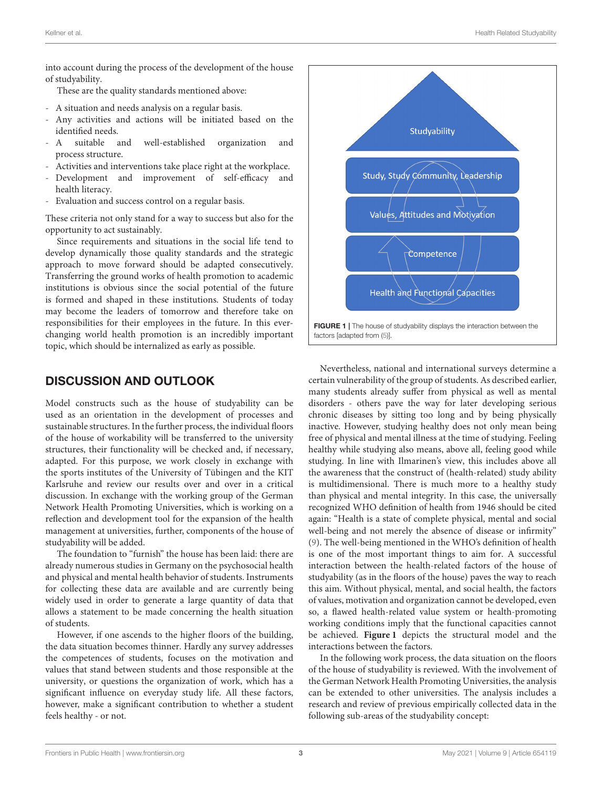into account during the process of the development of the house of studyability.

These are the quality standards mentioned above:

- A situation and needs analysis on a regular basis.
- Any activities and actions will be initiated based on the identified needs.<br>A suitable a
- A suitable and well-established organization and process structure.
- Activities and interventions take place right at the workplace.
- Development and improvement of self-efficacy and health literacy.
- Evaluation and success control on a regular basis.

These criteria not only stand for a way to success but also for the opportunity to act sustainably.

Since requirements and situations in the social life tend to develop dynamically those quality standards and the strategic approach to move forward should be adapted consecutively. Transferring the ground works of health promotion to academic institutions is obvious since the social potential of the future is formed and shaped in these institutions. Students of today may become the leaders of tomorrow and therefore take on responsibilities for their employees in the future. In this everchanging world health promotion is an incredibly important topic, which should be internalized as early as possible.

#### DISCUSSION AND OUTLOOK

Model constructs such as the house of studyability can be used as an orientation in the development of processes and sustainable structures. In the further process, the individual floors of the house of workability will be transferred to the university structures, their functionality will be checked and, if necessary, adapted. For this purpose, we work closely in exchange with the sports institutes of the University of Tübingen and the KIT Karlsruhe and review our results over and over in a critical discussion. In exchange with the working group of the German Network Health Promoting Universities, which is working on a reflection and development tool for the expansion of the health management at universities, further, components of the house of studyability will be added.

The foundation to "furnish" the house has been laid: there are already numerous studies in Germany on the psychosocial health and physical and mental health behavior of students. Instruments for collecting these data are available and are currently being widely used in order to generate a large quantity of data that allows a statement to be made concerning the health situation of students.

However, if one ascends to the higher floors of the building, the data situation becomes thinner. Hardly any survey addresses the competences of students, focuses on the motivation and values that stand between students and those responsible at the university, or questions the organization of work, which has a significant influence on everyday study life. All these factors, however, make a significant contribution to whether a student feels healthy - or not.



<span id="page-2-0"></span>Nevertheless, national and international surveys determine a certain vulnerability of the group of students. As described earlier, many students already suffer from physical as well as mental disorders - others pave the way for later developing serious chronic diseases by sitting too long and by being physically inactive. However, studying healthy does not only mean being free of physical and mental illness at the time of studying. Feeling healthy while studying also means, above all, feeling good while studying. In line with Ilmarinen's view, this includes above all the awareness that the construct of (health-related) study ability is multidimensional. There is much more to a healthy study than physical and mental integrity. In this case, the universally recognized WHO definition of health from 1946 should be cited again: "Health is a state of complete physical, mental and social well-being and not merely the absence of disease or infirmity" [\(9\)](#page-3-8). The well-being mentioned in the WHO's definition of health is one of the most important things to aim for. A successful interaction between the health-related factors of the house of studyability (as in the floors of the house) paves the way to reach this aim. Without physical, mental, and social health, the factors of values, motivation and organization cannot be developed, even so, a flawed health-related value system or health-promoting working conditions imply that the functional capacities cannot be achieved. **[Figure 1](#page-2-0)** depicts the structural model and the interactions between the factors.

In the following work process, the data situation on the floors of the house of studyability is reviewed. With the involvement of the German Network Health Promoting Universities, the analysis can be extended to other universities. The analysis includes a research and review of previous empirically collected data in the following sub-areas of the studyability concept: